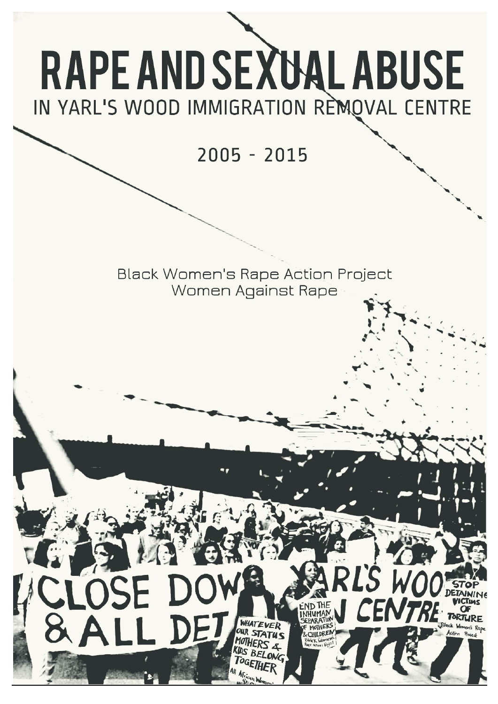# **RAPE AND SEXUAL ABUSE** IN YARL'S WOOD IMMIGRATION REMOVAL CENTRE

 $2005 - 2015$ 

Black Women's Rape Action Project Women Against Rape

> WHATEVER DUR STATUS YOTHE UDS BELONG TOGETHE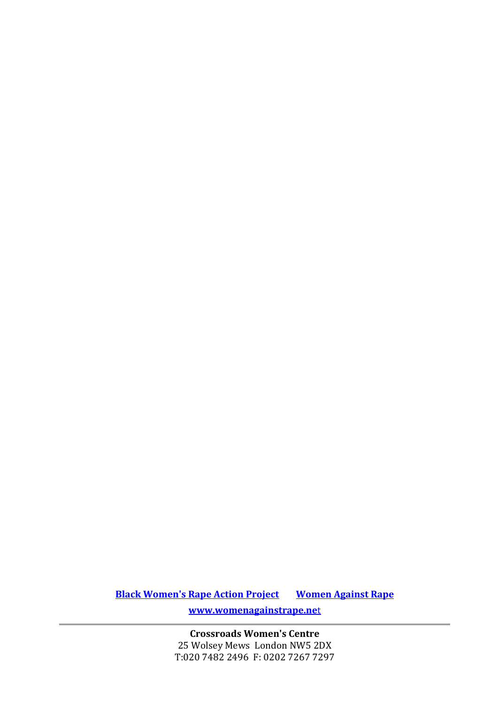**Black Women's Rape Action Project Women Against Rape www.womenagainstrape.ne**t

> **Crossroads Women's Centre** 25 Wolsey Mews London NW5 2DX T:020 7482 2496 F: 0202 7267 7297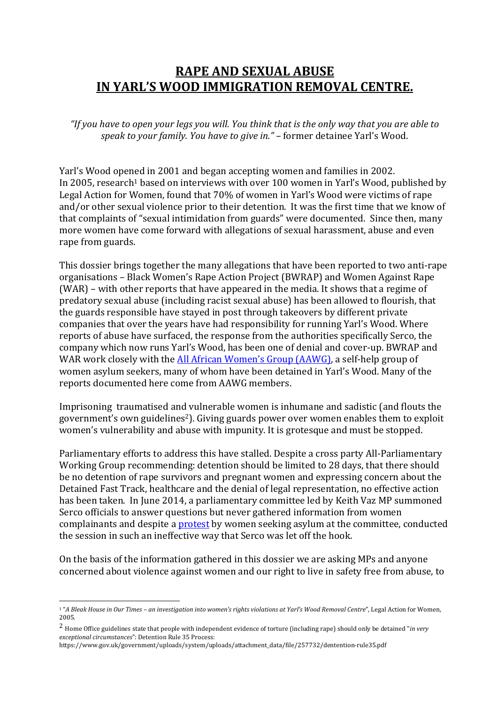# **RAPE AND SEXUAL ABUSE IN YARL'S WOOD IMMIGRATION REMOVAL CENTRE.**

"If you have to open your leas you will. You think that is the only way that you are able to *speak to your family. You have to give in."* – former detainee Yarl's Wood. 

Yarl's Wood opened in 2001 and began accepting women and families in 2002. In 2005, research<sup>1</sup> based on interviews with over 100 women in Yarl's Wood, published by Legal Action for Women, found that 70% of women in Yarl's Wood were victims of rape and/or other sexual violence prior to their detention. It was the first time that we know of that complaints of "sexual intimidation from guards" were documented. Since then, many more women have come forward with allegations of sexual harassment, abuse and even rape from guards.

This dossier brings together the many allegations that have been reported to two anti-rape organisations – Black Women's Rape Action Project (BWRAP) and Women Against Rape  $(WAR)$  – with other reports that have appeared in the media. It shows that a regime of predatory sexual abuse (including racist sexual abuse) has been allowed to flourish, that the guards responsible have stayed in post through takeovers by different private companies that over the years have had responsibility for running Yarl's Wood. Where reports of abuse have surfaced, the response from the authorities specifically Serco, the company which now runs Yarl's Wood, has been one of denial and cover-up. BWRAP and WAR work closely with the **All African Women's Group (AAWG)**, a self-help group of women asylum seekers, many of whom have been detained in Yarl's Wood. Many of the reports documented here come from AAWG members.

Imprisoning traumatised and vulnerable women is inhumane and sadistic (and flouts the government's own guidelines<sup>2</sup>). Giving guards power over women enables them to exploit women's vulnerability and abuse with impunity. It is grotesque and must be stopped.

Parliamentary efforts to address this have stalled. Despite a cross party All-Parliamentary Working Group recommending: detention should be limited to 28 days, that there should be no detention of rape survivors and pregnant women and expressing concern about the Detained Fast Track, healthcare and the denial of legal representation, no effective action has been taken. In June 2014, a parliamentary committee led by Keith Vaz MP summoned Serco officials to answer questions but never gathered information from women complainants and despite a protest by women seeking asylum at the committee, conducted the session in such an ineffective way that Serco was let off the hook.

On the basis of the information gathered in this dossier we are asking MPs and anyone concerned about violence against women and our right to live in safety free from abuse, to

<sup>&</sup>lt;sup>1</sup>"A Bleak House in Our Times - an investigation into women's rights violations at Yarl's Wood Removal Centre", Legal Action for Women, 2005. 

<sup>&</sup>lt;sup>2</sup> Home Office guidelines state that people with independent evidence of torture (including rape) should only be detained "*in very exceptional circumstances*": Detention Rule 35 Process: 

https://www.gov.uk/government/uploads/system/uploads/attachment\_data/file/257732/dentention‐rule35.pdf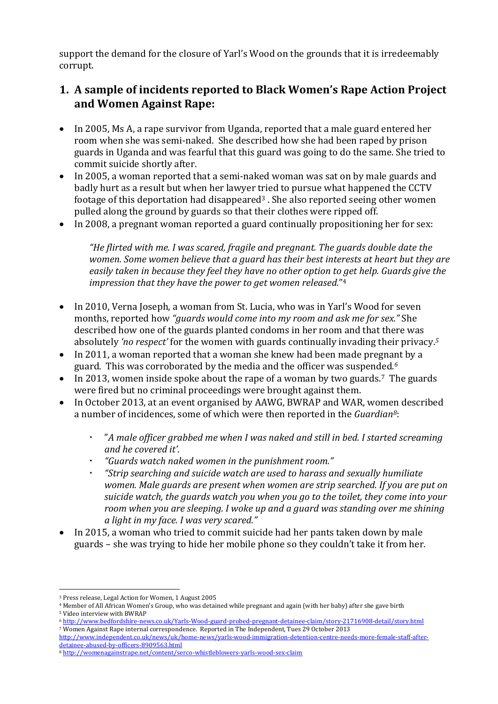support the demand for the closure of Yarl's Wood on the grounds that it is irredeemably corrupt. 

#### **1. A sample of incidents reported to Black Women's Rape Action Project and Women Against Rape:**

- In 2005, Ms A, a rape survivor from Uganda, reported that a male guard entered her room when she was semi-naked. She described how she had been raped by prison guards in Uganda and was fearful that this guard was going to do the same. She tried to commit suicide shortly after.
- In 2005, a woman reported that a semi-naked woman was sat on by male guards and badly hurt as a result but when her lawyer tried to pursue what happened the CCTV footage of this deportation had disappeared<sup>3</sup>. She also reported seeing other women pulled along the ground by guards so that their clothes were ripped off.
- In 2008, a pregnant woman reported a guard continually propositioning her for sex:

*"He flirted with me. I was scared, fragile and pregnant. The guards double date the women. Some women believe that a guard has their best interests at heart but they are easily taken in because they feel they have no other option to get help. Guards give the impression that they have the power to get women released.*"4

- In 2010, Verna Joseph, a woman from St. Lucia, who was in Yarl's Wood for seven months, reported how *"guards would come into my room and ask me for sex."* She described how one of the guards planted condoms in her room and that there was absolutely 'no respect' for the women with guards continually invading their privacy.<sup>5</sup>
- In 2011, a woman reported that a woman she knew had been made pregnant by a guard. This was corroborated by the media and the officer was suspended.<sup>6</sup>
- In 2013, women inside spoke about the rape of a woman by two guards.<sup>7</sup> The guards were fired but no criminal proceedings were brought against them.
- In October 2013, at an event organised by AAWG, BWRAP and WAR, women described a number of incidences, some of which were then reported in the *Guardian<sup>8</sup>*:
	- "*A male officer grabbed me when I was naked and still in bed. I started screaming and he covered it'*.
	- *"Guards watch naked women in the punishment room."*
	- *"Strip searching and suicide watch are used to harass and sexually humiliate women. Male guards are present when women are strip searched. If you are put on suicide watch, the guards watch you when you go to the toilet, they come into your room when you are sleeping. I woke up and a guard was standing over me shining a light in my face. I was very scared."*
- In 2015, a woman who tried to commit suicide had her pants taken down by male guards – she was trying to hide her mobile phone so they couldn't take it from her.

<sup>6</sup> http://www.bedfordshire‐news.co.uk/Yarls‐Wood‐guard‐probed‐pregnant‐detainee‐claim/story‐21716908‐detail/story.html  $\frac{7}{100}$  Women Against Rape internal correspondence. Reported in The Independent, Tues 29 October 2013

 <sup>3</sup> Press release, Legal Action for Women, 1 August 2005

<sup>&</sup>lt;sup>4</sup> Member of All African Women's Group, who was detained while pregnant and again (with her baby) after she gave birth <sup>5</sup> Video interview with BWRAP

http://www.independent.co.uk/news/uk/home-news/yarls-wood-immigration-detention-centre-needs-more-female-staff-afterdetainee‐abused‐by‐officers‐8909563.html 

<sup>8</sup> http://womenagainstrape.net/content/serco‐whistleblowers‐yarls‐wood‐sex‐claim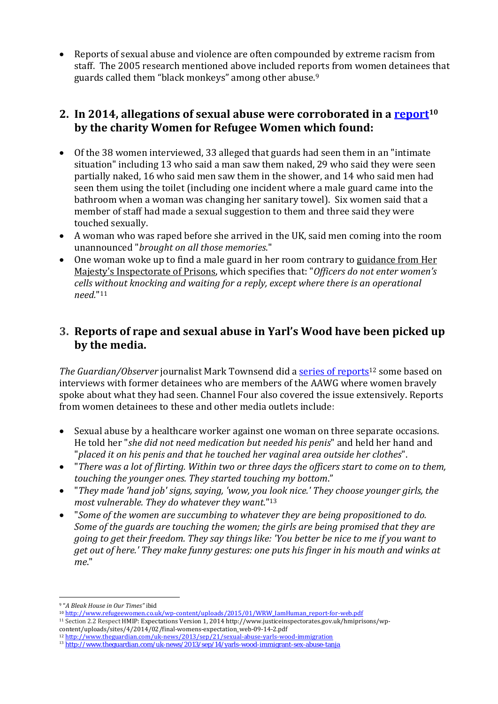Reports of sexual abuse and violence are often compounded by extreme racism from staff. The 2005 research mentioned above included reports from women detainees that guards called them "black monkeys" among other abuse.<sup>9</sup>

#### **2. In 2014, allegations of sexual abuse were corroborated in a report10 by the charity Women for Refugee Women which found:**

- $\bullet$  Of the 38 women interviewed, 33 alleged that guards had seen them in an "intimate" situation" including 13 who said a man saw them naked, 29 who said they were seen partially naked, 16 who said men saw them in the shower, and 14 who said men had seen them using the toilet (including one incident where a male guard came into the bathroom when a woman was changing her sanitary towel). Six women said that a member of staff had made a sexual suggestion to them and three said they were touched sexually.
- A woman who was raped before she arrived in the UK, said men coming into the room unannounced "*brought on all those memories*."
- One woman woke up to find a male guard in her room contrary to guidance from Her Majesty's Inspectorate of Prisons, which specifies that: "*Officers do not enter women's cells without knocking and waiting for a reply, except where there is an operational need.*"11

#### **3. Reports of rape and sexual abuse in Yarl's Wood have been picked up by the media.**

*The Guardian/Observer* journalist Mark Townsend did a series of reports<sup>12</sup> some based on interviews with former detainees who are members of the AAWG where women bravely spoke about what they had seen. Channel Four also covered the issue extensively. Reports from women detainees to these and other media outlets include:

- Sexual abuse by a healthcare worker against one woman on three separate occasions. He told her "she did not need medication but needed his penis" and held her hand and "*placed it on his penis and that he touched her vaginal area outside her clothes*".
- "There was a lot of flirting. Within two or three days the officers start to come on to them, *touching the younger ones. They started touching my bottom*."
- "*They made 'hand job' signs, saying, 'wow, you look nice.' They choose younger girls, the most vulnerable. They do whatever they want*."13
- "*Some of the women are succumbing to whatever they are being propositioned to do. Some of the guards are touching the women; the girls are being promised that they are going to get their freedom. They say things like: 'You better be nice to me if you want to get out of here.' They make funny gestures: one puts his finger in his mouth and winks at me*."

<sup>9 &</sup>quot;*A Bleak House in Our Times"* ibid 

<sup>10</sup> http://www.refugeewomen.co.uk/wp-content/uploads/2015/01/WRW\_IamHuman\_report-for-web.pdf

<sup>11</sup> Section 2.2 Respect HMIP: Expectations Version 1, 2014 http://www.justiceinspectorates.gov.uk/hmiprisons/wpcontent/uploads/sites/4/2014/02/final‐womens‐expectation\_web‐09‐14‐2.pdf 

<sup>12</sup> http://www.theguardian.com/uk‐news/2013/sep/21/sexual‐abuse‐yarls‐wood‐immigration

<sup>13</sup> http://www.theguardian.com/uk-news/2013/sep/14/yarls-wood-immigrant-sex-abuse-tanja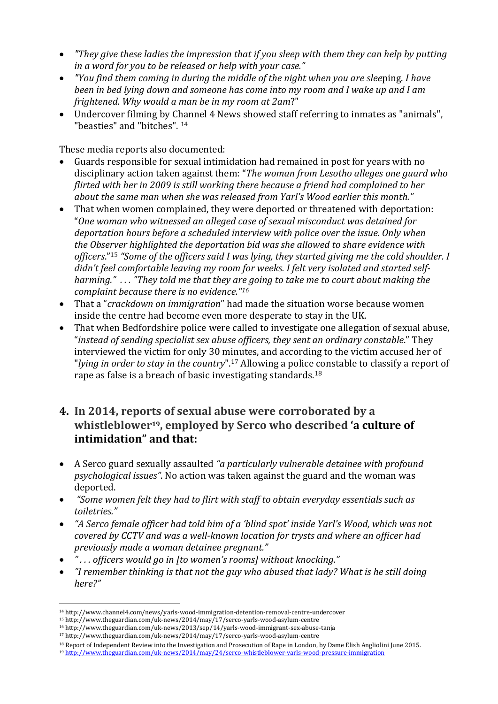- *"They give these ladies the impression that if you sleep with them they can help by putting in a word for you to be released or help with your case."*
- *"You find them coming in during the middle of the night when you are slee*ping. *I have been in bed lying down and someone has come into my room and I wake up and I am frightened. Why would a man be in my room at 2am*?"
- Undercover filming by Channel 4 News showed staff referring to inmates as "animals", "beasties" and "bitches". <sup>14</sup>

These media reports also documented:

- Guards responsible for sexual intimidation had remained in post for years with no disciplinary action taken against them: "*The woman from Lesotho alleges one guard who flirted with her in 2009 is still working there because a friend had complained to her about the same man when she was released from Yarl's Wood earlier this month."*
- That when women complained, they were deported or threatened with deportation: "*One woman who witnessed an alleged case of sexual misconduct was detained for deportation hours before a scheduled interview with police over the issue. Only when the Observer highlighted the deportation bid was she allowed to share evidence with officers*."15 *"Some of the officers said I was lying, they started giving me the cold shoulder. I didn't feel comfortable leaving my room for weeks. I felt very isolated and started self‐* harming." ... "They told me that they are going to take me to court about making the *complaint because there is no evidence."16*
- That a "*crackdown on immigration*" had made the situation worse because women inside the centre had become even more desperate to stay in the UK.
- That when Bedfordshire police were called to investigate one allegation of sexual abuse, "*instead of sending specialist sex abuse officers, they sent an ordinary constable*." They interviewed the victim for only 30 minutes, and according to the victim accused her of "*lying in order to stay in the country*".17 Allowing a police constable to classify a report of rape as false is a breach of basic investigating standards.<sup>18</sup>

#### **4. In 2014, reports of sexual abuse were corroborated by a whistleblower19, employed by Serco who described 'a culture of intimidation" and that:**

- A Serco guard sexually assaulted *"a particularly vulnerable detainee with profound psychological issues*". No action was taken against the guard and the woman was deported.
- *"Some women felt they had to flirt with staff to obtain everyday essentials such as toiletries."*
- *"A Serco female officer had told him of a 'blind spot' inside Yarl's Wood, which was not covered by CCTV and was a well‐known location for trysts and where an officer had previously made a woman detainee pregnant."*
- *" . . . officers would go in [to women's rooms] without knocking."*
- *"I remember thinking is that not the guy who abused that lady? What is he still doing here?"*

<sup>14</sup> http://www.channel4.com/news/yarls-wood-immigration-detention-removal-centre-undercover

<sup>15</sup> http://www.theguardian.com/uk-news/2014/may/17/serco-yarls-wood-asylum-centre

<sup>&</sup>lt;sup>16</sup> http://www.theguardian.com/uk-news/2013/sep/14/yarls-wood-immigrant-sex-abuse-tanja

<sup>17</sup> http://www.theguardian.com/uk-news/2014/may/17/serco-yarls-wood-asylum-centre

<sup>&</sup>lt;sup>18</sup> Report of Independent Review into the Investigation and Prosecution of Rape in London, by Dame Elish Angliolini June 2015.

<sup>19</sup> http://www.theguardian.com/uk‐news/2014/may/24/serco‐whistleblower‐yarls‐wood‐pressure‐immigration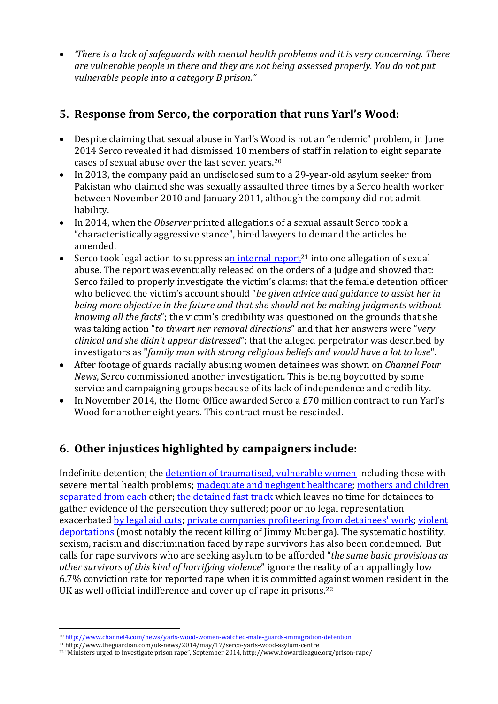*'There is a lack of safeguards with mental health problems and it is very concerning. There are vulnerable people in there and they are not being assessed properly. You do not put vulnerable people into a category B prison."* 

### **5. Response from Serco, the corporation that runs Yarl's Wood:**

- Despite claiming that sexual abuse in Yarl's Wood is not an "endemic" problem, in June 2014 Serco revealed it had dismissed 10 members of staff in relation to eight separate cases of sexual abuse over the last seven years.<sup>20</sup>
- In 2013, the company paid an undisclosed sum to a 29-year-old asylum seeker from Pakistan who claimed she was sexually assaulted three times by a Serco health worker between November 2010 and January 2011, although the company did not admit liability.
- In 2014, when the *Observer* printed allegations of a sexual assault Serco took a "characteristically aggressive stance", hired lawyers to demand the articles be amended.
- Serco took legal action to suppress an internal report<sup>21</sup> into one allegation of sexual abuse. The report was eventually released on the orders of a judge and showed that: Serco failed to properly investigate the victim's claims; that the female detention officer who believed the victim's account should "*be given advice and guidance to assist her in being more objective in the future and that she should not be making judgments without knowing* all *the facts*"; the victim's credibility was questioned on the grounds that she was taking action "*to thwart her removal directions*" and that her answers were "*very clinical and she didn't appear distressed*"; that the alleged perpetrator was described by investigators as "*family man with strong religious beliefs and would have a lot to lose*".
- After footage of guards racially abusing women detainees was shown on *Channel Four News*, Serco commissioned another investigation. This is being boycotted by some service and campaigning groups because of its lack of independence and credibility.
- In November 2014, the Home Office awarded Serco a  $E$ 70 million contract to run Yarl's Wood for another eight years. This contract must be rescinded.

# **6. Other injustices highlighted by campaigners include:**

Indefinite detention; the detention of traumatised, vulnerable women including those with severe mental health problems; inadequate and negligent healthcare; mothers and children separated from each other; the detained fast track which leaves no time for detainees to gather evidence of the persecution they suffered; poor or no legal representation exacerbated by legal aid cuts; private companies profiteering from detainees' work; violent deportations (most notably the recent killing of  $\lim_{x \to a} M(x)$ ). The systematic hostility, sexism, racism and discrimination faced by rape survivors has also been condemned. But calls for rape survivors who are seeking asylum to be afforded "*the same basic provisions as other survivors of this kind of horrifying violence*" ignore the reality of an appallingly low 6.7% conviction rate for reported rape when it is committed against women resident in the UK as well official indifference and cover up of rape in prisons.<sup>22</sup>

<sup>20</sup> http://www.channel4.com/news/yarls-wood-women-watched-male-guards-immigration-detention

<sup>&</sup>lt;sup>21</sup> http://www.theguardian.com/uk-news/2014/may/17/serco-yarls-wood-asylum-centre

<sup>&</sup>lt;sup>22</sup> "Ministers urged to investigate prison rape", September 2014, http://www.howardleague.org/prison-rape/